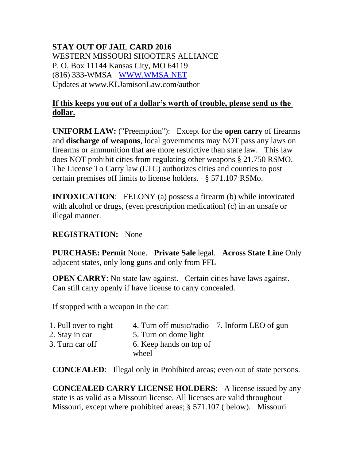## **STAY OUT OF JAIL CARD 2016** WESTERN MISSOURI SHOOTERS ALLIANCE P. O. Box 11144 Kansas City, MO 64119 (816) 333-WMSA [WWW.WMSA.NET](http://www.wmsa.net/) Updates at www.KLJamisonLaw.com/author

## **If this keeps you out of a dollar's worth of trouble, please send us the dollar.**

**UNIFORM LAW:** ("Preemption"): Except for the **open carry** of firearms and **discharge of weapons**, local governments may NOT pass any laws on firearms or ammunition that are more restrictive than state law. This law does NOT prohibit cities from regulating other weapons § 21.750 RSMO. The License To Carry law (LTC) authorizes cities and counties to post certain premises off limits to license holders. § 571.107 RSMo.

**INTOXICATION:** FELONY (a) possess a firearm (b) while intoxicated with alcohol or drugs, (even prescription medication) (c) in an unsafe or illegal manner.

## **REGISTRATION:** None

**PURCHASE: Permit** None. **Private Sale** legal. **Across State Line** Only adjacent states, only long guns and only from FFL

**OPEN CARRY:** No state law against. Certain cities have laws against. Can still carry openly if have license to carry concealed.

If stopped with a weapon in the car:

| 1. Pull over to right | 4. Turn off music/radio 7. Inform LEO of gun |  |
|-----------------------|----------------------------------------------|--|
| 2. Stay in car        | 5. Turn on dome light                        |  |
| 3. Turn car off       | 6. Keep hands on top of<br>wheel             |  |
|                       |                                              |  |

**CONCEALED:** Illegal only in Prohibited areas; even out of state persons.

**CONCEALED CARRY LICENSE HOLDERS**: A license issued by any state is as valid as a Missouri license. All licenses are valid throughout Missouri, except where prohibited areas; § 571.107 ( below). Missouri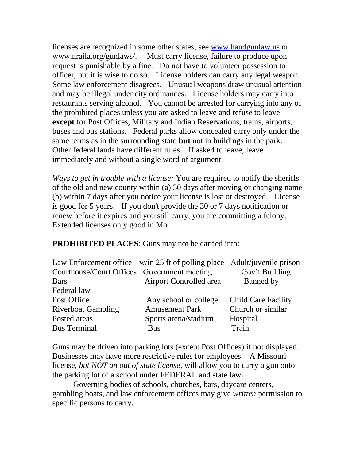licenses are recognized in some other states; see [www.handgunlaw.us](http://www.handgunlaw.us/) or www.nraila.org/gunlaws/. Must carry license, failure to produce upon request is punishable by a fine. Do not have to volunteer possession to officer, but it is wise to do so. License holders can carry any legal weapon. Some law enforcement disagrees. Unusual weapons draw unusual attention and may be illegal under city ordinances. License holders may carry into restaurants serving alcohol. You cannot be arrested for carrying into any of the prohibited places unless you are asked to leave and refuse to leave **except** for Post Offices, Military and Indian Reservations, trains, airports, buses and bus stations. Federal parks allow concealed carry only under the same terms as in the surrounding state **but** not in buildings in the park. Other federal lands have different rules. If asked to leave, leave immediately and without a single word of argument.

*Ways to get in trouble with a license:* You are required to notify the sheriffs of the old and new county within (a) 30 days after moving or changing name (b) within 7 days after you notice your license is lost or destroyed. License is good for 5 years. If you don't provide the 30 or 7 days notification or renew before it expires and you still carry, you are committing a felony. Extended licenses only good in Mo.

## **PROHIBITED PLACES**: Guns may not be carried into:

|                                             | Law Enforcement office w/in 25 ft of polling place Adult/juvenile prison |                            |
|---------------------------------------------|--------------------------------------------------------------------------|----------------------------|
| Courthouse/Court Offices Government meeting |                                                                          | Gov't Building             |
| <b>Bars</b>                                 | Airport Controlled area                                                  | Banned by                  |
| Federal law                                 |                                                                          |                            |
| Post Office                                 | Any school or college                                                    | <b>Child Care Facility</b> |
| <b>Riverboat Gambling</b>                   | <b>Amusement Park</b>                                                    | Church or similar          |
| Posted areas                                | Sports arena/stadium                                                     | Hospital                   |
| <b>Bus Terminal</b>                         | <b>Bus</b>                                                               | Train                      |

Guns may be driven into parking lots (except Post Offices) if not displayed. Businesses may have more restrictive rules for employees. A Missouri license, *but NOT an out of state license*, will allow you to carry a gun onto the parking lot of a school under FEDERAL and state law.

Governing bodies of schools, churches, bars, daycare centers, gambling boats, and law enforcement offices may give *written* permission to specific persons to carry.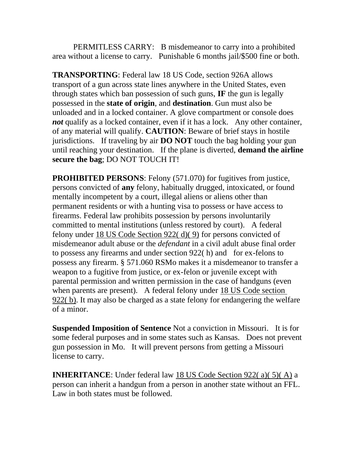PERMITLESS CARRY: B misdemeanor to carry into a prohibited area without a license to carry. Punishable 6 months jail/\$500 fine or both.

**TRANSPORTING**: Federal law 18 US Code, section 926A allows transport of a gun across state lines anywhere in the United States, even through states which ban possession of such guns, **IF** the gun is legally possessed in the **state of origin**, and **destination**. Gun must also be unloaded and in a locked container. A glove compartment or console does *not* qualify as a locked container, even if it has a lock. Any other container, of any material will qualify. **CAUTION**: Beware of brief stays in hostile jurisdictions. If traveling by air **DO NOT** touch the bag holding your gun until reaching your destination. If the plane is diverted, **demand the airline secure the bag**; DO NOT TOUCH IT!

**PROHIBITED PERSONS:** Felony (571.070) for fugitives from justice, persons convicted of **any** felony, habitually drugged, intoxicated, or found mentally incompetent by a court, illegal aliens or aliens other than permanent residents or with a hunting visa to possess or have access to firearms. Federal law prohibits possession by persons involuntarily committed to mental institutions (unless restored by court). A federal felony under 18 US Code Section 922( d)( 9) for persons convicted of misdemeanor adult abuse or the *defendant* in a civil adult abuse final order to possess any firearms and under section 922( h) and for ex-felons to possess any firearm. § 571.060 RSMo makes it a misdemeanor to transfer a weapon to a fugitive from justice, or ex-felon or juvenile except with parental permission and written permission in the case of handguns (even when parents are present). A federal felony under 18 US Code section 922( b). It may also be charged as a state felony for endangering the welfare of a minor.

**Suspended Imposition of Sentence** Not a conviction in Missouri. It is for some federal purposes and in some states such as Kansas. Does not prevent gun possession in Mo. It will prevent persons from getting a Missouri license to carry.

**INHERITANCE**: Under federal law 18 US Code Section 922( a)( 5)( A) a person can inherit a handgun from a person in another state without an FFL. Law in both states must be followed.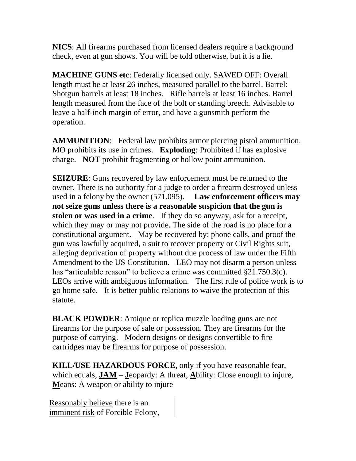**NICS**: All firearms purchased from licensed dealers require a background check, even at gun shows. You will be told otherwise, but it is a lie.

**MACHINE GUNS etc**: Federally licensed only. SAWED OFF: Overall length must be at least 26 inches, measured parallel to the barrel. Barrel: Shotgun barrels at least 18 inches. Rifle barrels at least 16 inches. Barrel length measured from the face of the bolt or standing breech. Advisable to leave a half-inch margin of error, and have a gunsmith perform the operation.

**AMMUNITION**: Federal law prohibits armor piercing pistol ammunition. MO prohibits its use in crimes. **Exploding**: Prohibited if has explosive charge. **NOT** prohibit fragmenting or hollow point ammunition.

**SEIZURE:** Guns recovered by law enforcement must be returned to the owner. There is no authority for a judge to order a firearm destroyed unless used in a felony by the owner (571.095). **Law enforcement officers may not seize guns unless there is a reasonable suspicion that the gun is stolen or was used in a crime**. If they do so anyway, ask for a receipt, which they may or may not provide. The side of the road is no place for a constitutional argument. May be recovered by: phone calls, and proof the gun was lawfully acquired, a suit to recover property or Civil Rights suit, alleging deprivation of property without due process of law under the Fifth Amendment to the US Constitution. LEO may not disarm a person unless has "articulable reason" to believe a crime was committed §21.750.3(c). LEOs arrive with ambiguous information. The first rule of police work is to go home safe. It is better public relations to waive the protection of this statute.

**BLACK POWDER:** Antique or replica muzzle loading guns are not firearms for the purpose of sale or possession. They are firearms for the purpose of carrying. Modern designs or designs convertible to fire cartridges may be firearms for purpose of possession.

**KILL/USE HAZARDOUS FORCE,** only if you have reasonable fear, which equals, **JAM** – **J**eopardy: A threat, **A**bility: Close enough to injure, **M**eans: A weapon or ability to injure

Reasonably believe there is an imminent risk of Forcible Felony,